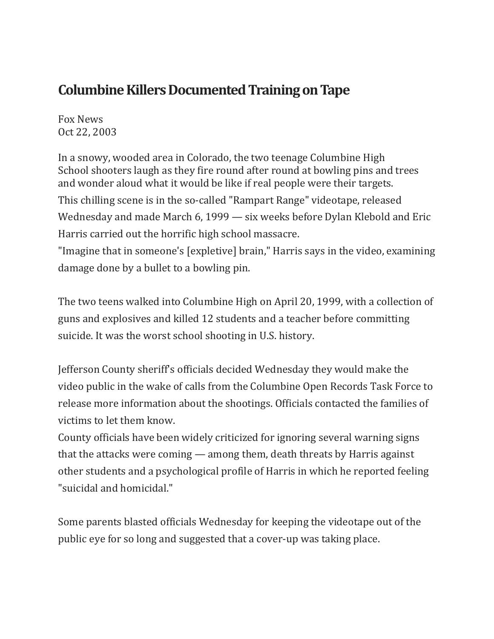## **Columbine Killers Documented Training on Tape**

Fox News Oct 22, 2003

In a snowy, wooded area in Colorado, the two teenage Columbine High School shooters laugh as they fire round after round at bowling pins and trees and wonder aloud what it would be like if real people were their targets. This chilling scene is in the so-called "Rampart Range" videotape, released Wednesday and made March 6, 1999 — six weeks before Dylan Klebold and Eric Harris carried out the horrific high school massacre.

"Imagine that in someone's [expletive] brain," Harris says in the video, examining damage done by a bullet to a bowling pin.

The two teens walked into Columbine High on April 20, 1999, with a collection of guns and explosives and killed 12 students and a teacher before committing suicide. It was the worst school shooting in U.S. history.

Jefferson County sheriff's officials decided Wednesday they would make the video public in the wake of calls from the Columbine Open Records Task Force to release more information about the shootings. Officials contacted the families of victims to let them know.

County officials have been widely criticized for ignoring several warning signs that the attacks were coming — among them, death threats by Harris against other students and a psychological profile of Harris in which he reported feeling "suicidal and homicidal."

Some parents blasted officials Wednesday for keeping the videotape out of the public eye for so long and suggested that a cover-up was taking place.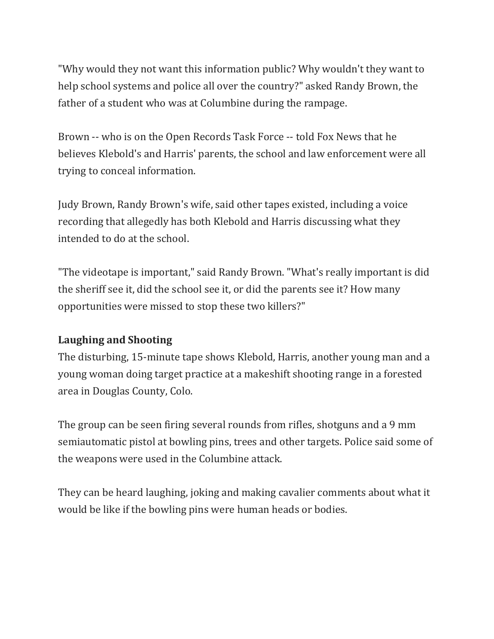"Why would they not want this information public? Why wouldn't they want to help school systems and police all over the country?" asked Randy Brown, the father of a student who was at Columbine during the rampage.

Brown -- who is on the Open Records Task Force -- told Fox News that he believes Klebold's and Harris' parents, the school and law enforcement were all trying to conceal information.

Judy Brown, Randy Brown's wife, said other tapes existed, including a voice recording that allegedly has both Klebold and Harris discussing what they intended to do at the school.

"The videotape is important," said Randy Brown. "What's really important is did the sheriff see it, did the school see it, or did the parents see it? How many opportunities were missed to stop these two killers?"

## **Laughing and Shooting**

The disturbing, 15-minute tape shows Klebold, Harris, another young man and a young woman doing target practice at a makeshift shooting range in a forested area in Douglas County, Colo.

The group can be seen firing several rounds from rifles, shotguns and a 9 mm semiautomatic pistol at bowling pins, trees and other targets. Police said some of the weapons were used in the Columbine attack.

They can be heard laughing, joking and making cavalier comments about what it would be like if the bowling pins were human heads or bodies.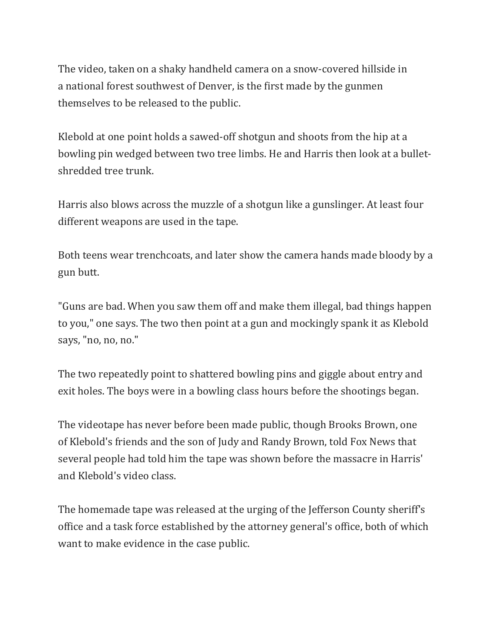The video, taken on a shaky handheld camera on a snow-covered hillside in a national forest southwest of Denver, is the first made by the gunmen themselves to be released to the public.

Klebold at one point holds a sawed-off shotgun and shoots from the hip at a bowling pin wedged between two tree limbs. He and Harris then look at a bulletshredded tree trunk.

Harris also blows across the muzzle of a shotgun like a gunslinger. At least four different weapons are used in the tape.

Both teens wear trenchcoats, and later show the camera hands made bloody by a gun butt.

"Guns are bad. When you saw them off and make them illegal, bad things happen to you," one says. The two then point at a gun and mockingly spank it as Klebold says, "no, no, no."

The two repeatedly point to shattered bowling pins and giggle about entry and exit holes. The boys were in a bowling class hours before the shootings began.

The videotape has never before been made public, though Brooks Brown, one of Klebold's friends and the son of Judy and Randy Brown, told Fox News that several people had told him the tape was shown before the massacre in Harris' and Klebold's video class.

The homemade tape was released at the urging of the Jefferson County sheriff's office and a task force established by the attorney general's office, both of which want to make evidence in the case public.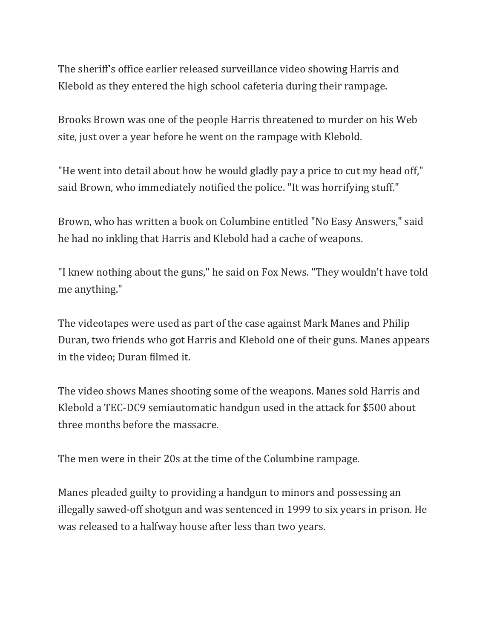The sheriff's office earlier released surveillance video showing Harris and Klebold as they entered the high school cafeteria during their rampage.

Brooks Brown was one of the people Harris threatened to murder on his Web site, just over a year before he went on the rampage with Klebold.

"He went into detail about how he would gladly pay a price to cut my head off," said Brown, who immediately notified the police. "It was horrifying stuff."

Brown, who has written a book on Columbine entitled "No Easy Answers," said he had no inkling that Harris and Klebold had a cache of weapons.

"I knew nothing about the guns," he said on Fox News. "They wouldn't have told me anything."

The videotapes were used as part of the case against Mark Manes and Philip Duran, two friends who got Harris and Klebold one of their guns. Manes appears in the video; Duran filmed it.

The video shows Manes shooting some of the weapons. Manes sold Harris and Klebold a TEC-DC9 semiautomatic handgun used in the attack for \$500 about three months before the massacre.

The men were in their 20s at the time of the Columbine rampage.

Manes pleaded guilty to providing a handgun to minors and possessing an illegally sawed-off shotgun and was sentenced in 1999 to six years in prison. He was released to a halfway house after less than two years.